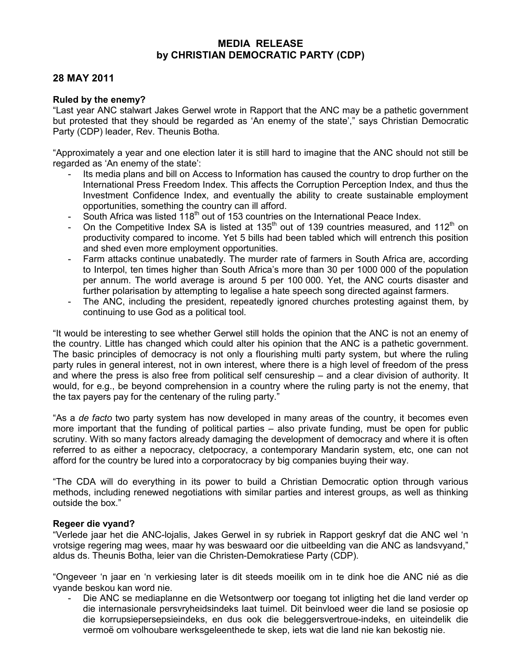## MEDIA RELEASE by CHRISTIAN DEMOCRATIC PARTY (CDP)

## 28 MAY 2011

## Ruled by the enemy?

"Last year ANC stalwart Jakes Gerwel wrote in Rapport that the ANC may be a pathetic government but protested that they should be regarded as 'An enemy of the state'," says Christian Democratic Party (CDP) leader, Rev. Theunis Botha.

"Approximately a year and one election later it is still hard to imagine that the ANC should not still be regarded as 'An enemy of the state':

- Its media plans and bill on Access to Information has caused the country to drop further on the International Press Freedom Index. This affects the Corruption Perception Index, and thus the Investment Confidence Index, and eventually the ability to create sustainable employment opportunities, something the country can ill afford.
- South Africa was listed 118<sup>th</sup> out of 153 countries on the International Peace Index.
- On the Competitive Index SA is listed at 135<sup>th</sup> out of 139 countries measured, and 112<sup>th</sup> on productivity compared to income. Yet 5 bills had been tabled which will entrench this position and shed even more employment opportunities.
- Farm attacks continue unabatedly. The murder rate of farmers in South Africa are, according to Interpol, ten times higher than South Africa's more than 30 per 1000 000 of the population per annum. The world average is around 5 per 100 000. Yet, the ANC courts disaster and further polarisation by attempting to legalise a hate speech song directed against farmers.
- The ANC, including the president, repeatedly ignored churches protesting against them, by continuing to use God as a political tool.

"It would be interesting to see whether Gerwel still holds the opinion that the ANC is not an enemy of the country. Little has changed which could alter his opinion that the ANC is a pathetic government. The basic principles of democracy is not only a flourishing multi party system, but where the ruling party rules in general interest, not in own interest, where there is a high level of freedom of the press and where the press is also free from political self censureship – and a clear division of authority. It would, for e.g., be beyond comprehension in a country where the ruling party is not the enemy, that the tax payers pay for the centenary of the ruling party."

"As a de facto two party system has now developed in many areas of the country, it becomes even more important that the funding of political parties – also private funding, must be open for public scrutiny. With so many factors already damaging the development of democracy and where it is often referred to as either a nepocracy, cletpocracy, a contemporary Mandarin system, etc, one can not afford for the country be lured into a corporatocracy by big companies buying their way.

"The CDA will do everything in its power to build a Christian Democratic option through various methods, including renewed negotiations with similar parties and interest groups, as well as thinking outside the box."

## Regeer die vyand?

"Verlede jaar het die ANC-lojalis, Jakes Gerwel in sy rubriek in Rapport geskryf dat die ANC wel 'n vrotsige regering mag wees, maar hy was beswaard oor die uitbeelding van die ANC as landsvyand," aldus ds. Theunis Botha, leier van die Christen-Demokratiese Party (CDP).

"Ongeveer 'n jaar en 'n verkiesing later is dit steeds moeilik om in te dink hoe die ANC nié as die vyande beskou kan word nie.

- Die ANC se mediaplanne en die Wetsontwerp oor toegang tot inligting het die land verder op die internasionale persvryheidsindeks laat tuimel. Dit beinvloed weer die land se posiosie op die korrupsiepersepsieindeks, en dus ook die beleggersvertroue-indeks, en uiteindelik die vermoë om volhoubare werksgeleenthede te skep, iets wat die land nie kan bekostig nie.